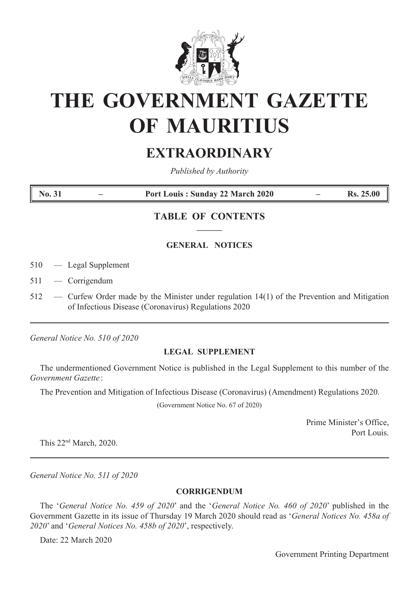

# **THE GOVERNMENT GAZETTE OF MAURITIUS**

## **EXTRAORDINARY**

*Published by Authority* 

**No. 31 – Port Louis : Sunday 22 March 2020 – Rs. 25.00**

### **TABLE OF CONTENTS ––––––**

#### **GENERAL NOTICES**

- 510 Legal Supplement
- 511 Corrigendum
- 512 Curfew Order made by the Minister under regulation 14(1) of the Prevention and Mitigation of Infectious Disease (Coronavirus) Regulations 2020

*General Notice No. 510 of 2020*

#### **LEGAL SUPPLEMENT**

The undermentioned Government Notice is published in the Legal Supplement to this number of the *Government Gazette* :

The Prevention and Mitigation of Infectious Disease (Coronavirus) (Amendment) Regulations 2020.

(Government Notice No. 67 of 2020)

Prime Minister's Office, Port Louis.

This 22nd March, 2020.

*General Notice No. 511 of 2020*

#### **CORRIGENDUM**

The '*General Notice No. 459 of 2020*' and the '*General Notice No. 460 of 2020*' published in the Government Gazette in its issue of Thursday 19 March 2020 should read as '*General Notices No. 458a of 2020*' and '*General Notices No. 458b of 2020*', respectively.

Date: 22 March 2020

Government Printing Department